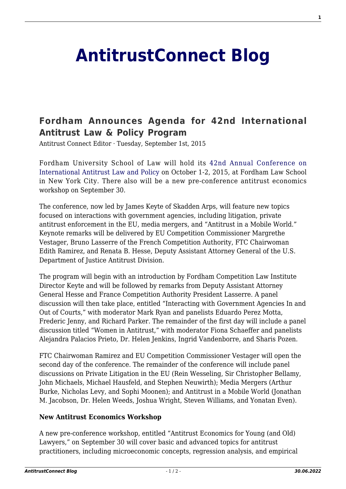## **[AntitrustConnect Blog](http://antitrustconnect.com/)**

## **[Fordham Announces Agenda for 42nd International](http://antitrustconnect.com/2015/09/01/fordham-announces-agenda-for-42nd-international-antitrust-law-policy-program/) [Antitrust Law & Policy Program](http://antitrustconnect.com/2015/09/01/fordham-announces-agenda-for-42nd-international-antitrust-law-policy-program/)**

Antitrust Connect Editor · Tuesday, September 1st, 2015

Fordham University School of Law will hold its [42nd Annual Conference on](http://www.fordham.edu/info/23957/agenda) [International Antitrust Law and Policy](http://www.fordham.edu/info/23957/agenda) on October 1-2, 2015, at Fordham Law School in New York City. There also will be a new pre-conference antitrust economics workshop on September 30.

The conference, now led by James Keyte of Skadden Arps, will feature new topics focused on interactions with government agencies, including litigation, private antitrust enforcement in the EU, media mergers, and "Antitrust in a Mobile World." Keynote remarks will be delivered by EU Competition Commissioner Margrethe Vestager, Bruno Lasserre of the French Competition Authority, FTC Chairwoman Edith Ramirez, and Renata B. Hesse, Deputy Assistant Attorney General of the U.S. Department of Justice Antitrust Division.

The program will begin with an introduction by Fordham Competition Law Institute Director Keyte and will be followed by remarks from Deputy Assistant Attorney General Hesse and France Competition Authority President Lasserre. A panel discussion will then take place, entitled "Interacting with Government Agencies In and Out of Courts," with moderator Mark Ryan and panelists Eduardo Perez Motta, Frederic Jenny, and Richard Parker. The remainder of the first day will include a panel discussion titled "Women in Antitrust," with moderator Fiona Schaeffer and panelists Alejandra Palacios Prieto, Dr. Helen Jenkins, Ingrid Vandenborre, and Sharis Pozen.

FTC Chairwoman Ramirez and EU Competition Commissioner Vestager will open the second day of the conference. The remainder of the conference will include panel discussions on Private Litigation in the EU (Rein Wesseling, Sir Christopher Bellamy, John Michaels, Michael Hausfeld, and Stephen Neuwirth); Media Mergers (Arthur Burke, Nicholas Levy, and Sophi Moonen); and Antitrust in a Mobile World (Jonathan M. Jacobson, Dr. Helen Weeds, Joshua Wright, Steven Williams, and Yonatan Even).

## **New Antitrust Economics Workshop**

A new pre-conference workshop, entitled "Antitrust Economics for Young (and Old) Lawyers," on September 30 will cover basic and advanced topics for antitrust practitioners, including microeconomic concepts, regression analysis, and empirical